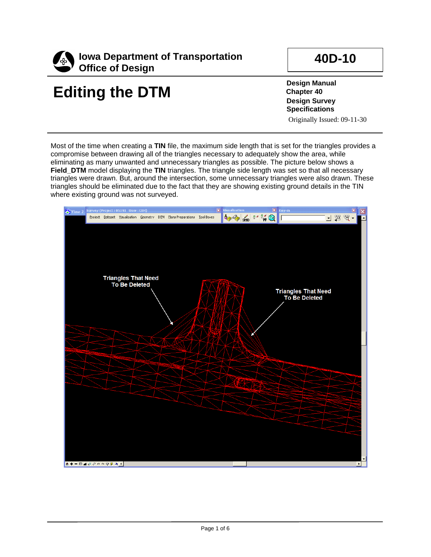

## **Editing the DTM**

**40D-10**

**Design Manual Chapter 40 Design Survey Specifications** Originally Issued: 09-11-30

Most of the time when creating a **TIN** file, the maximum side length that is set for the triangles provides a compromise between drawing all of the triangles necessary to adequately show the area, while eliminating as many unwanted and unnecessary triangles as possible. The picture below shows a **Field\_DTM** model displaying the **TIN** triangles. The triangle side length was set so that all necessary triangles were drawn. But, around the intersection, some unnecessary triangles were also drawn. These triangles should be eliminated due to the fact that they are showing existing ground details in the TIN where existing ground was not surveyed.

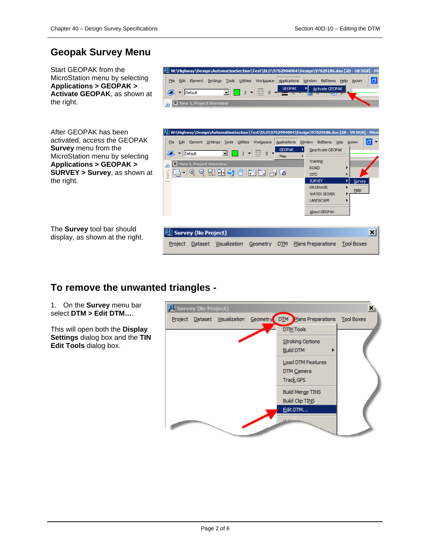## **Geopak Survey Menu**

Start GEOPAK from the MicroStation menu by selecting **Applications > GEOPAK > Activate GEOPAK**, as shown at the right.

|                          | M W:\Highway\Design\AutomationSection\Test\DLO\9702904004\Design\97029186.dsn [2D - V8 DGN] - Mi |
|--------------------------|--------------------------------------------------------------------------------------------------|
| File                     | Element Settings Tools Utilities Workspace Applications Window BidItems Help Axiom               |
| Default                  | <b>Activate GEOPAK</b>                                                                           |
| View 1, Project Overview |                                                                                                  |

After GEOPAK has been activated, access the GEOPAK **Survey** menu from the MicroStation menu by selecting **Applications > GEOPAK > SURVEY > Survey**, as shown at the right.

M W:\Highway\Design\AutomationSection\Test\DLO\9702904004\Design\97029186.dsn [2D - V8 DGN] - Micr File Edit Element Settings Tools Utilities Workspace Applications Window BidItems Help Axiom lal **GEOPAK** - ⊳l Deactivate GEOPAK  $\sqrt{ }$   $\sqrt{ }$   $\sqrt{ }$  Default  $2 \times \overline{27} = 0$  $\mathbf{F}$ Map Training  $\Box$  View 1, Proje g, ROAD G 1º º S ⊡ ♦ ® | ⊡ ⊡ ¦ G **Task SITE** SURVEY Survey DRAINAGE  $He$ **WATER SEWER** LANDSCAPE About GEOPAK **M.** Survey (No Project) ⊠ Project Dataset Visualization Geometry DTM Plans Preparations Tool Boxes

The **Survey** tool bar should display, as shown at the right.

## **To remove the unwanted triangles -**

1. On the **Survey** menu bar select **DTM > Edit DTM…**.

This will open both the **Display Settings** dialog box and the **TIN Edit Tools** dialog box.

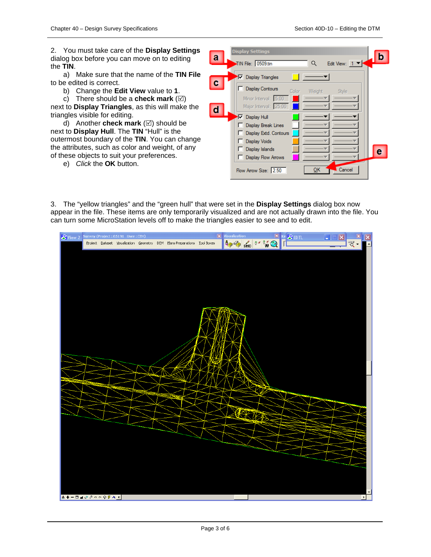2. You must take care of the **Display Settings** dialog box before you can move on to editing the **TIN**.

a) Make sure that the name of the **TIN File** to be edited is correct.

b) Change the **Edit View** value to **1**.

c) There should be a **check mark**  $(\boxtimes)$ 

next to **Display Triangles**, as this will make the triangles visible for editing.

d) Another **check mark**  $(\boxtimes)$  should be next to **Display Hull**. The **TIN** "Hull" is the outermost boundary of the **TIN**. You can change the attributes, such as color and weight, of any of these objects to suit your preferences.

e) *Click* the **OK** button.

| a | <b>Display Settings</b><br>TIN File: 0509.tin<br>Edit View: $1 -$<br>Q                                                        |  |
|---|-------------------------------------------------------------------------------------------------------------------------------|--|
|   | <b>▽</b> Display Triangles<br><b>Display Contours</b><br>Color <sub>1</sub><br>Weight<br><b>Style</b><br>Minor Interval: 5.00 |  |
|   | Major Interval: 25.00<br><b>▽</b> Display Hull<br>Display Break Lines<br>Display Extd. Contours                               |  |
|   | <b>Display Voids</b><br>Display Islands<br><b>Display Flow Arrows</b>                                                         |  |
|   | Cancel<br>OK<br>Flow Arrow Size: 2.50                                                                                         |  |

3. The "yellow triangles" and the "green hull" that were set in the **Display Settings** dialog box now appear in the file. These items are only temporarily visualized and are not actually drawn into the file. You can turn some MicroStation levels off to make the triangles easier to see and to edit.

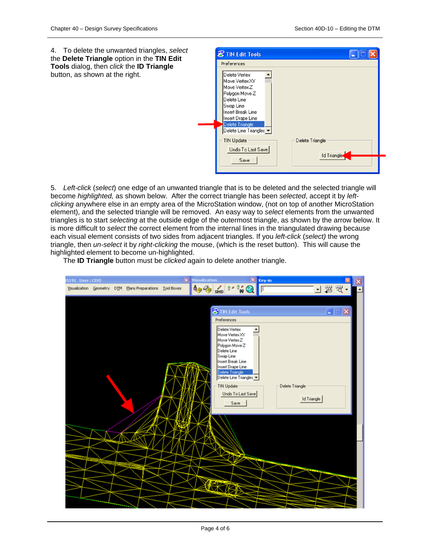4. To delete the unwanted triangles, *select* the **Delete Triangle** option in the **TIN Edit Tools** dialog, then *click* the **ID Triangle** button, as shown at the right.

| Delete Vertex<br>Move Vertex XY<br>Move Vertex Z<br>Polygon Move Z<br>Delete Line<br>Swap Line<br><b>Insert Break Line</b><br>Insert Drape Line<br>Delete Triangle<br>Delete Line Triangles |                                |
|---------------------------------------------------------------------------------------------------------------------------------------------------------------------------------------------|--------------------------------|
| <b>TIN Update</b><br>Undo To Last Save<br>Save                                                                                                                                              | Delete Triangle<br>Id Triangle |

5. *Left-click* (*select*) one edge of an unwanted triangle that is to be deleted and the selected triangle will become *highlighted,* as shown below. After the correct triangle has been *selected*, accept it by *leftclicking* anywhere else in an empty area of the MicroStation window, (not on top of another MicroStation element), and the selected triangle will be removed. An easy way to *select* elements from the unwanted triangles is to start *selecting* at the outside edge of the outermost triangle, as shown by the arrow below. It is more difficult to *select* the correct element from the internal lines in the triangulated drawing because each visual element consists of two sides from adjacent triangles. If you *left-click* (*select)* the wrong triangle, then *un-select* it by *right-clicking* the mouse, (which is the reset button). This will cause the highlighted element to become un-highlighted.

The **ID Triangle** button must be *clicked* again to delete another triangle.

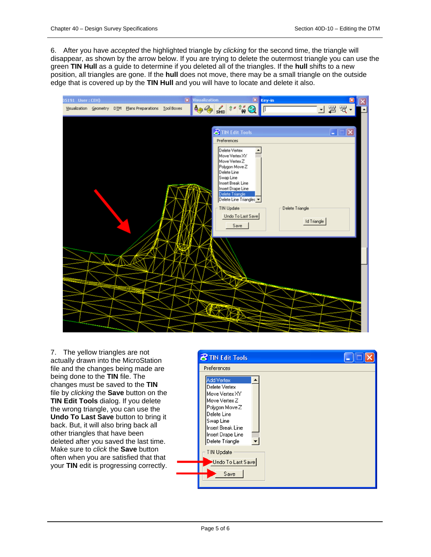6. After you have *accepted* the highlighted triangle by *clicking* for the second time, the triangle will disappear, as shown by the arrow below. If you are trying to delete the outermost triangle you can use the green **TIN Hull** as a guide to determine if you deleted all of the triangles. If the **hull** shifts to a new position, all triangles are gone. If the **hull** does not move, there may be a small triangle on the outside edge that is covered up by the **TIN Hull** and you will have to locate and delete it also.

| X Key-in<br><b>X</b> Visualization<br>05191 User: CEH)                                                                                                                                                                                                                                           |                                                        |  |
|--------------------------------------------------------------------------------------------------------------------------------------------------------------------------------------------------------------------------------------------------------------------------------------------------|--------------------------------------------------------|--|
| $\frac{3}{2}$ $\frac{3}{2}$ $\frac{3}{2}$<br>SMD<br>Visualization Geometry DTM Plans Preparations Tool Boxes                                                                                                                                                                                     | 山間肉                                                    |  |
| <b>8</b> TIN Edit Tools<br>Preferences<br>Delete Vertex<br>Move Vertex XY<br>Move Vertex Z<br>Polygon Move Z<br>Delete Line<br>Swap Line<br>Insert Break Line<br>Insert Drape Line<br>Delete Triangle<br>Delete Line Triangles<br><b>TIN Update</b><br>Undo To Last Save<br>Save<br><b>EXTRE</b> | $\vert x \vert$<br>E<br>Delete Triangle<br>Id Triangle |  |

7. The yellow triangles are not actually drawn into the MicroStation file and the changes being made are being done to the **TIN** file. The changes must be saved to the **TIN**  file by *clicking* the **Save** button on the **TIN Edit Tools** dialog. If you delete the wrong triangle, you can use the **Undo To Last Save** button to bring it back. But, it will also bring back all other triangles that have been deleted after you saved the last time. Make sure to *click* the **Save** button often when you are satisfied that that your **TIN** edit is progressing correctly.

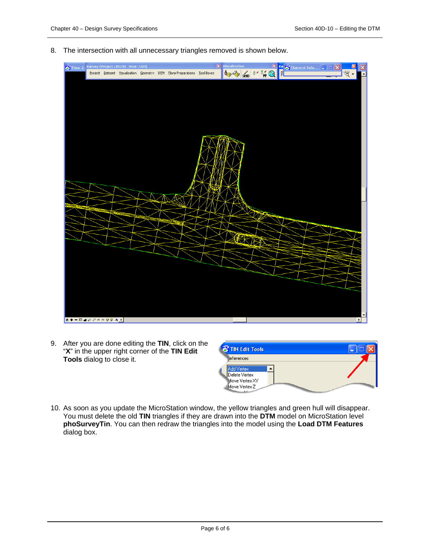8. The intersection with all unnecessary triangles removed is shown below.



9. After you are done editing the **TIN**, click on the "**X**" in the upper right corner of the **TIN Edit Tools** dialog to close it.

| <b>8 TIN Edit Tools</b>                                                     |                                                                                  |
|-----------------------------------------------------------------------------|----------------------------------------------------------------------------------|
| <b>leferences</b>                                                           |                                                                                  |
| Add Vertex<br>Delete Vertex<br>Move Vertex XY<br>Move Vertex Z<br>المستبقلة | the market of the company of the local division of the company of the company of |

10. As soon as you update the MicroStation window, the yellow triangles and green hull will disappear. You must delete the old **TIN** triangles if they are drawn into the **DTM** model on MicroStation level **phoSurveyTin**. You can then redraw the triangles into the model using the **Load DTM Features** dialog box.